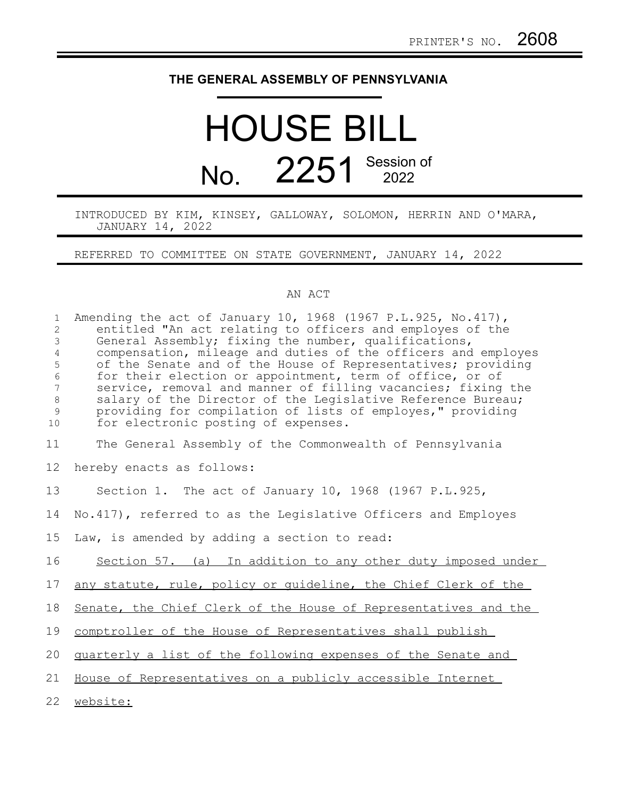## **THE GENERAL ASSEMBLY OF PENNSYLVANIA**

## HOUSE BILL No. 2251 Session of

INTRODUCED BY KIM, KINSEY, GALLOWAY, SOLOMON, HERRIN AND O'MARA, JANUARY 14, 2022

REFERRED TO COMMITTEE ON STATE GOVERNMENT, JANUARY 14, 2022

## AN ACT

| $\mathbf{1}$<br>$\overline{c}$<br>$\mathfrak{Z}$<br>$\sqrt{4}$<br>$\mathsf S$<br>$\sqrt{6}$<br>$\overline{7}$<br>$\,8\,$<br>$\mathsf 9$<br>$10$ | Amending the act of January 10, 1968 (1967 P.L.925, No.417),<br>entitled "An act relating to officers and employes of the<br>General Assembly; fixing the number, qualifications,<br>compensation, mileage and duties of the officers and employes<br>of the Senate and of the House of Representatives; providing<br>for their election or appointment, term of office, or of<br>service, removal and manner of filling vacancies; fixing the<br>salary of the Director of the Legislative Reference Bureau;<br>providing for compilation of lists of employes," providing<br>for electronic posting of expenses. |
|-------------------------------------------------------------------------------------------------------------------------------------------------|--------------------------------------------------------------------------------------------------------------------------------------------------------------------------------------------------------------------------------------------------------------------------------------------------------------------------------------------------------------------------------------------------------------------------------------------------------------------------------------------------------------------------------------------------------------------------------------------------------------------|
| 11                                                                                                                                              | The General Assembly of the Commonwealth of Pennsylvania                                                                                                                                                                                                                                                                                                                                                                                                                                                                                                                                                           |
| 12                                                                                                                                              | hereby enacts as follows:                                                                                                                                                                                                                                                                                                                                                                                                                                                                                                                                                                                          |
| 13                                                                                                                                              | Section 1. The act of January 10, 1968 (1967 P.L.925,                                                                                                                                                                                                                                                                                                                                                                                                                                                                                                                                                              |
| 14                                                                                                                                              | No.417), referred to as the Legislative Officers and Employes                                                                                                                                                                                                                                                                                                                                                                                                                                                                                                                                                      |
| 15                                                                                                                                              | Law, is amended by adding a section to read:                                                                                                                                                                                                                                                                                                                                                                                                                                                                                                                                                                       |
| 16                                                                                                                                              | Section 57. (a) In addition to any other duty imposed under                                                                                                                                                                                                                                                                                                                                                                                                                                                                                                                                                        |
| 17                                                                                                                                              | any statute, rule, policy or guideline, the Chief Clerk of the                                                                                                                                                                                                                                                                                                                                                                                                                                                                                                                                                     |
| 18                                                                                                                                              | Senate, the Chief Clerk of the House of Representatives and the                                                                                                                                                                                                                                                                                                                                                                                                                                                                                                                                                    |
| 19                                                                                                                                              | comptroller of the House of Representatives shall publish                                                                                                                                                                                                                                                                                                                                                                                                                                                                                                                                                          |
| 20                                                                                                                                              | quarterly a list of the following expenses of the Senate and                                                                                                                                                                                                                                                                                                                                                                                                                                                                                                                                                       |
| 21                                                                                                                                              | House of Representatives on a publicly accessible Internet                                                                                                                                                                                                                                                                                                                                                                                                                                                                                                                                                         |
| 22                                                                                                                                              | website:                                                                                                                                                                                                                                                                                                                                                                                                                                                                                                                                                                                                           |